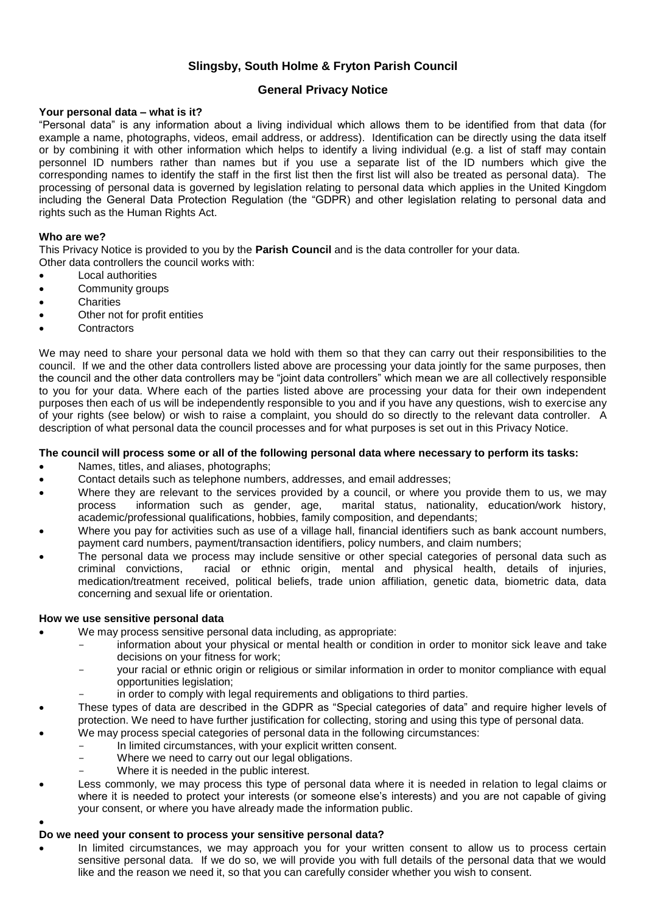## **Slingsby, South Holme & Fryton Parish Council**

## **General Privacy Notice**

## **Your personal data – what is it?**

"Personal data" is any information about a living individual which allows them to be identified from that data (for example a name, photographs, videos, email address, or address). Identification can be directly using the data itself or by combining it with other information which helps to identify a living individual (e.g. a list of staff may contain personnel ID numbers rather than names but if you use a separate list of the ID numbers which give the corresponding names to identify the staff in the first list then the first list will also be treated as personal data). The processing of personal data is governed by legislation relating to personal data which applies in the United Kingdom including the General Data Protection Regulation (the "GDPR) and other legislation relating to personal data and rights such as the Human Rights Act.

## **Who are we?**

This Privacy Notice is provided to you by the **Parish Council** and is the data controller for your data. Other data controllers the council works with:

- Local authorities
- Community groups
- **Charities**
- Other not for profit entities
- **Contractors**

We may need to share your personal data we hold with them so that they can carry out their responsibilities to the council. If we and the other data controllers listed above are processing your data jointly for the same purposes, then the council and the other data controllers may be "joint data controllers" which mean we are all collectively responsible to you for your data. Where each of the parties listed above are processing your data for their own independent purposes then each of us will be independently responsible to you and if you have any questions, wish to exercise any of your rights (see below) or wish to raise a complaint, you should do so directly to the relevant data controller. A description of what personal data the council processes and for what purposes is set out in this Privacy Notice.

#### **The council will process some or all of the following personal data where necessary to perform its tasks:**

- Names, titles, and aliases, photographs;
- Contact details such as telephone numbers, addresses, and email addresses;
- Where they are relevant to the services provided by a council, or where you provide them to us, we may process information such as gender, age, marital status, nationality, education/work history, process information such as gender, age, marital status, nationality, education/work history, academic/professional qualifications, hobbies, family composition, and dependants;
- Where you pay for activities such as use of a village hall, financial identifiers such as bank account numbers, payment card numbers, payment/transaction identifiers, policy numbers, and claim numbers;
- The personal data we process may include sensitive or other special categories of personal data such as criminal convictions, racial or ethnic origin, mental and physical health, details of injuries, medication/treatment received, political beliefs, trade union affiliation, genetic data, biometric data, data concerning and sexual life or orientation.

#### **How we use sensitive personal data**

 $\bullet$ 

- We may process sensitive personal data including, as appropriate:
	- information about your physical or mental health or condition in order to monitor sick leave and take decisions on your fitness for work;
	- your racial or ethnic origin or religious or similar information in order to monitor compliance with equal opportunities legislation;
	- in order to comply with legal requirements and obligations to third parties.
- These types of data are described in the GDPR as "Special categories of data" and require higher levels of protection. We need to have further justification for collecting, storing and using this type of personal data.
- We may process special categories of personal data in the following circumstances:
	- In limited circumstances, with your explicit written consent.
	- Where we need to carry out our legal obligations.
	- Where it is needed in the public interest.
- Less commonly, we may process this type of personal data where it is needed in relation to legal claims or where it is needed to protect your interests (or someone else's interests) and you are not capable of giving your consent, or where you have already made the information public.

## **Do we need your consent to process your sensitive personal data?**

In limited circumstances, we may approach you for your written consent to allow us to process certain sensitive personal data. If we do so, we will provide you with full details of the personal data that we would like and the reason we need it, so that you can carefully consider whether you wish to consent.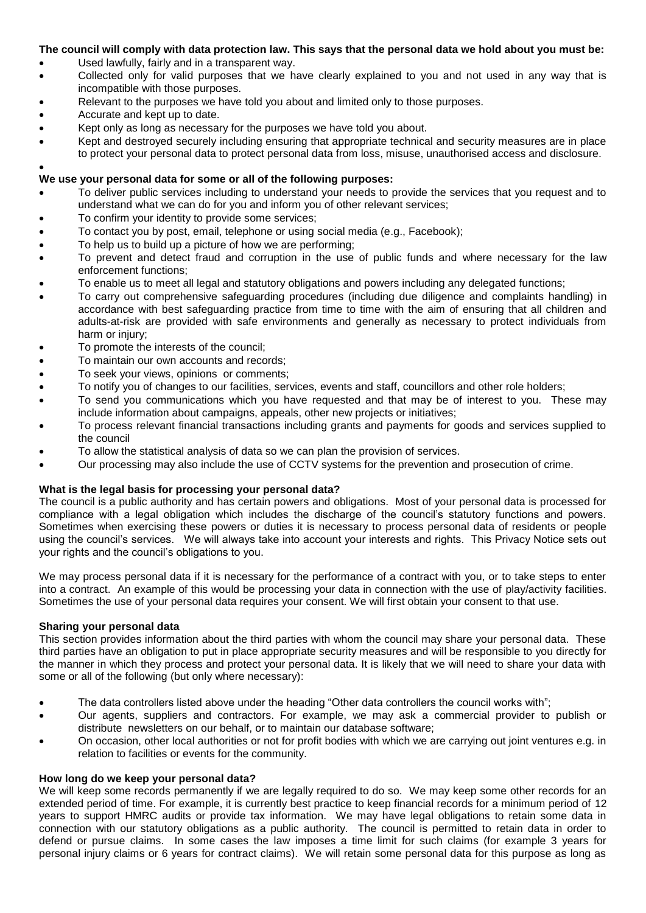## **The council will comply with data protection law. This says that the personal data we hold about you must be:**

- Used lawfully, fairly and in a transparent way.
- Collected only for valid purposes that we have clearly explained to you and not used in any way that is incompatible with those purposes.
- Relevant to the purposes we have told you about and limited only to those purposes.
- Accurate and kept up to date.
- Kept only as long as necessary for the purposes we have told you about.
- Kept and destroyed securely including ensuring that appropriate technical and security measures are in place to protect your personal data to protect personal data from loss, misuse, unauthorised access and disclosure.

#### $\bullet$ **We use your personal data for some or all of the following purposes:**

- To deliver public services including to understand your needs to provide the services that you request and to understand what we can do for you and inform you of other relevant services;
- To confirm your identity to provide some services;
- To contact you by post, email, telephone or using social media (e.g., Facebook);
- To help us to build up a picture of how we are performing;
- To prevent and detect fraud and corruption in the use of public funds and where necessary for the law enforcement functions;
- To enable us to meet all legal and statutory obligations and powers including any delegated functions;
- To carry out comprehensive safeguarding procedures (including due diligence and complaints handling) in accordance with best safeguarding practice from time to time with the aim of ensuring that all children and adults-at-risk are provided with safe environments and generally as necessary to protect individuals from harm or injury;
- To promote the interests of the council;
- To maintain our own accounts and records;
- To seek your views, opinions or comments;
- To notify you of changes to our facilities, services, events and staff, councillors and other role holders;
- To send you communications which you have requested and that may be of interest to you. These may include information about campaigns, appeals, other new projects or initiatives;
- To process relevant financial transactions including grants and payments for goods and services supplied to the council
- To allow the statistical analysis of data so we can plan the provision of services.
- Our processing may also include the use of CCTV systems for the prevention and prosecution of crime.

## **What is the legal basis for processing your personal data?**

The council is a public authority and has certain powers and obligations. Most of your personal data is processed for compliance with a legal obligation which includes the discharge of the council's statutory functions and powers. Sometimes when exercising these powers or duties it is necessary to process personal data of residents or people using the council's services. We will always take into account your interests and rights. This Privacy Notice sets out your rights and the council's obligations to you.

We may process personal data if it is necessary for the performance of a contract with you, or to take steps to enter into a contract. An example of this would be processing your data in connection with the use of play/activity facilities. Sometimes the use of your personal data requires your consent. We will first obtain your consent to that use.

## **Sharing your personal data**

This section provides information about the third parties with whom the council may share your personal data. These third parties have an obligation to put in place appropriate security measures and will be responsible to you directly for the manner in which they process and protect your personal data. It is likely that we will need to share your data with some or all of the following (but only where necessary):

- The data controllers listed above under the heading "Other data controllers the council works with";
- Our agents, suppliers and contractors. For example, we may ask a commercial provider to publish or distribute newsletters on our behalf, or to maintain our database software;
- On occasion, other local authorities or not for profit bodies with which we are carrying out joint ventures e.g. in relation to facilities or events for the community.

## **How long do we keep your personal data?**

We will keep some records permanently if we are legally required to do so. We may keep some other records for an extended period of time. For example, it is currently best practice to keep financial records for a minimum period of 12 years to support HMRC audits or provide tax information. We may have legal obligations to retain some data in connection with our statutory obligations as a public authority. The council is permitted to retain data in order to defend or pursue claims. In some cases the law imposes a time limit for such claims (for example 3 years for personal injury claims or 6 years for contract claims). We will retain some personal data for this purpose as long as